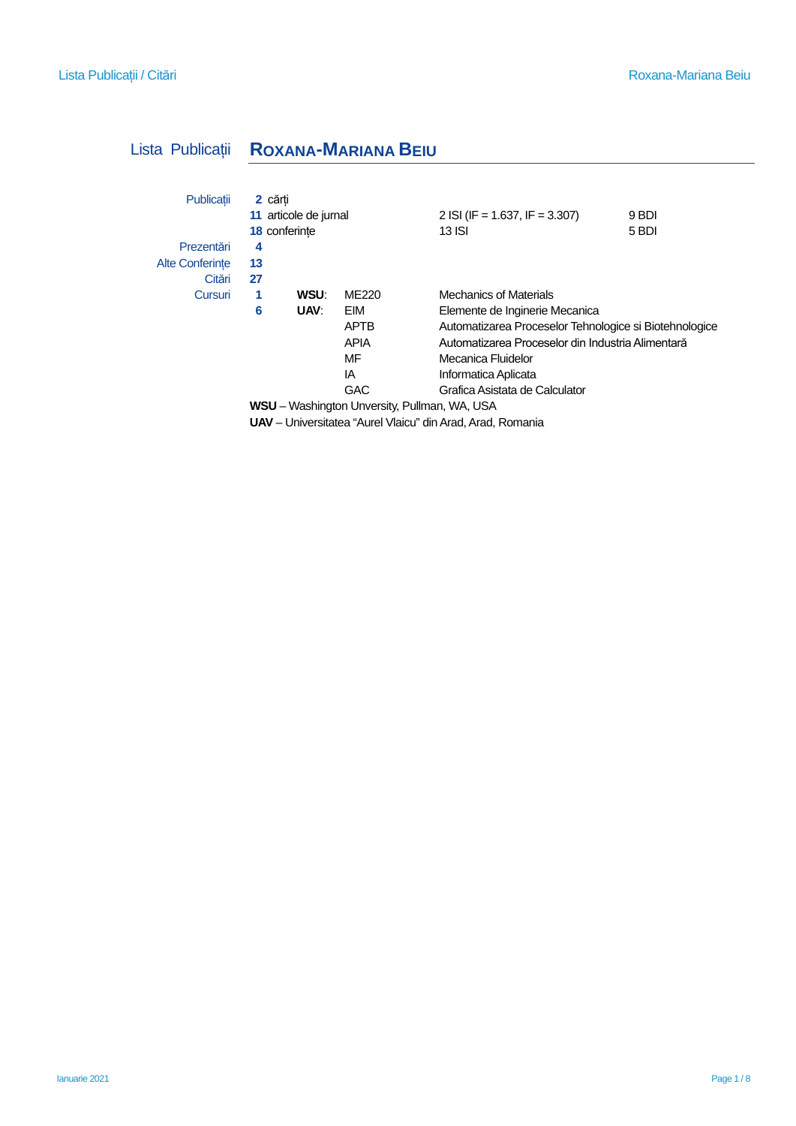# Lista Publicații **ROXANA-MARIANA BEIU**

| Publicatii                                   | 2 cărti                                                           | 11 articole de jurnal<br>18 conferinte |             | 2 ISI (IF = 1.637, IF = 3.307)<br>13 ISI               | 9 BDI<br>5 BDI |  |
|----------------------------------------------|-------------------------------------------------------------------|----------------------------------------|-------------|--------------------------------------------------------|----------------|--|
| Prezentări                                   | 4                                                                 |                                        |             |                                                        |                |  |
| <b>Alte Conferinte</b>                       | 13                                                                |                                        |             |                                                        |                |  |
| Citări                                       | 27                                                                |                                        |             |                                                        |                |  |
| Cursuri                                      | 1                                                                 | WSU:                                   | ME220       | <b>Mechanics of Materials</b>                          |                |  |
|                                              | 6                                                                 | UAV.                                   | EIM         | Elemente de Inginerie Mecanica                         |                |  |
|                                              |                                                                   |                                        | <b>APTB</b> | Automatizarea Proceselor Tehnologice si Biotehnologice |                |  |
|                                              |                                                                   |                                        | <b>APIA</b> | Automatizarea Proceselor din Industria Alimentară      |                |  |
|                                              |                                                                   |                                        | MF          | Mecanica Fluidelor                                     |                |  |
|                                              |                                                                   |                                        | ΙA          | Informatica Aplicata                                   |                |  |
|                                              |                                                                   |                                        | <b>GAC</b>  | Grafica Asistata de Calculator                         |                |  |
| WSU - Washington Unversity, Pullman, WA, USA |                                                                   |                                        |             |                                                        |                |  |
|                                              | <b>UAV</b> - Universitatea "Aurel Vlaicu" din Arad, Arad, Romania |                                        |             |                                                        |                |  |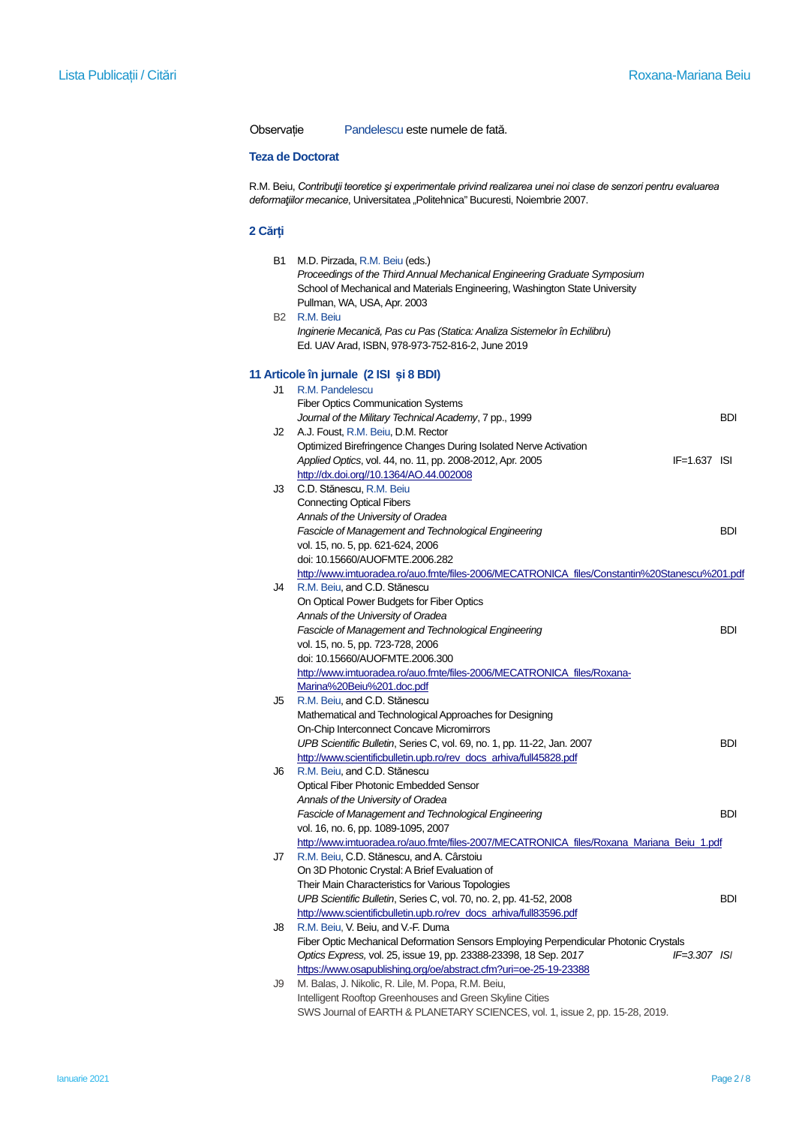Observație Pandelescu este numele de fată.

### **Teza de Doctorat**

R.M. Beiu, *Contribuţii teoretice şi experimentale privind realizarea unei noi clase de senzori pentru evaluarea*  deformatiilor mecanice, Universitatea "Politehnica" Bucuresti, Noiembrie 2007.

## **2 Cărți**

| B1        | M.D. Pirzada, R.M. Beiu (eds.)                                                               |            |
|-----------|----------------------------------------------------------------------------------------------|------------|
|           | Proceedings of the Third Annual Mechanical Engineering Graduate Symposium                    |            |
|           | School of Mechanical and Materials Engineering, Washington State University                  |            |
|           | Pullman, WA, USA, Apr. 2003                                                                  |            |
| <b>B2</b> | R.M. Beiu                                                                                    |            |
|           | Inginerie Mecanică, Pas cu Pas (Statica: Analiza Sistemelor în Echilibru)                    |            |
|           | Ed. UAV Arad, ISBN, 978-973-752-816-2, June 2019                                             |            |
|           |                                                                                              |            |
|           | 11 Articole în jurnale (2 ISI și 8 BDI)                                                      |            |
| J1        | R.M. Pandelescu                                                                              |            |
|           | <b>Fiber Optics Communication Systems</b>                                                    |            |
|           | Journal of the Military Technical Academy, 7 pp., 1999                                       | <b>BDI</b> |
|           | J2 A.J. Foust, R.M. Beiu, D.M. Rector                                                        |            |
|           | Optimized Birefringence Changes During Isolated Nerve Activation                             |            |
|           | Applied Optics, vol. 44, no. 11, pp. 2008-2012, Apr. 2005<br>$IF=1.637$ ISI                  |            |
|           | http://dx.doi.org//10.1364/AO.44.002008                                                      |            |
| J3        | C.D. Stănescu, R.M. Beiu                                                                     |            |
|           | <b>Connecting Optical Fibers</b>                                                             |            |
|           | Annals of the University of Oradea                                                           |            |
|           | Fascicle of Management and Technological Engineering                                         | BDI        |
|           | vol. 15, no. 5, pp. 621-624, 2006                                                            |            |
|           | doi: 10.15660/AUOFMTE.2006.282                                                               |            |
|           | http://www.imtuoradea.ro/auo.fmte/files-2006/MECATRONICA_files/Constantin%20Stanescu%201.pdf |            |
| J4        | R.M. Beiu, and C.D. Stănescu                                                                 |            |
|           | On Optical Power Budgets for Fiber Optics                                                    |            |
|           | Annals of the University of Oradea                                                           |            |
|           | Fascicle of Management and Technological Engineering                                         | <b>BDI</b> |
|           | vol. 15, no. 5, pp. 723-728, 2006                                                            |            |
|           | doi: 10.15660/AUOFMTE.2006.300                                                               |            |
|           | http://www.imtuoradea.ro/auo.fmte/files-2006/MECATRONICA_files/Roxana-                       |            |
|           | Marina%20Beiu%201.doc.pdf                                                                    |            |
| J5        | R.M. Beiu, and C.D. Stănescu                                                                 |            |
|           | Mathematical and Technological Approaches for Designing                                      |            |
|           | On-Chip Interconnect Concave Micromirrors                                                    |            |
|           | UPB Scientific Bulletin, Series C, vol. 69, no. 1, pp. 11-22, Jan. 2007                      | <b>BDI</b> |
|           | http://www.scientificbulletin.upb.ro/rev_docs_arhiva/full45828.pdf                           |            |
| J6        | R.M. Beiu, and C.D. Stănescu                                                                 |            |
|           | Optical Fiber Photonic Embedded Sensor                                                       |            |
|           | Annals of the University of Oradea                                                           |            |
|           | Fascicle of Management and Technological Engineering                                         | BDI        |
|           | vol. 16, no. 6, pp. 1089-1095, 2007                                                          |            |
|           | http://www.imtuoradea.ro/auo.fmte/files-2007/MECATRONICA_files/Roxana_Mariana_Beiu_1.pdf     |            |
| Jſ        | R.M. Beiu, C.D. Stănescu, and A. Cârstoiu                                                    |            |
|           | On 3D Photonic Crystal: A Brief Evaluation of                                                |            |
|           | Their Main Characteristics for Various Topologies                                            |            |
|           | UPB Scientific Bulletin, Series C, vol. 70, no. 2, pp. 41-52, 2008                           | BDI        |
|           | http://www.scientificbulletin.upb.ro/rev_docs_arhiva/full83596.pdf                           |            |
| J8        | R.M. Beiu, V. Beiu, and V.-F. Duma                                                           |            |
|           | Fiber Optic Mechanical Deformation Sensors Employing Perpendicular Photonic Crystals         |            |
|           | Optics Express, vol. 25, issue 19, pp. 23388-23398, 18 Sep. 2017<br>$IF = 3.307$ ISI         |            |
|           | https://www.osapublishing.org/oe/abstract.cfm?uri=oe-25-19-23388                             |            |
| J9        | M. Balas, J. Nikolic, R. Lile, M. Popa, R.M. Beiu,                                           |            |
|           | Intelligent Rooftop Greenhouses and Green Skyline Cities                                     |            |
|           | SWS Journal of EARTH & PLANETARY SCIENCES, vol. 1, issue 2, pp. 15-28, 2019.                 |            |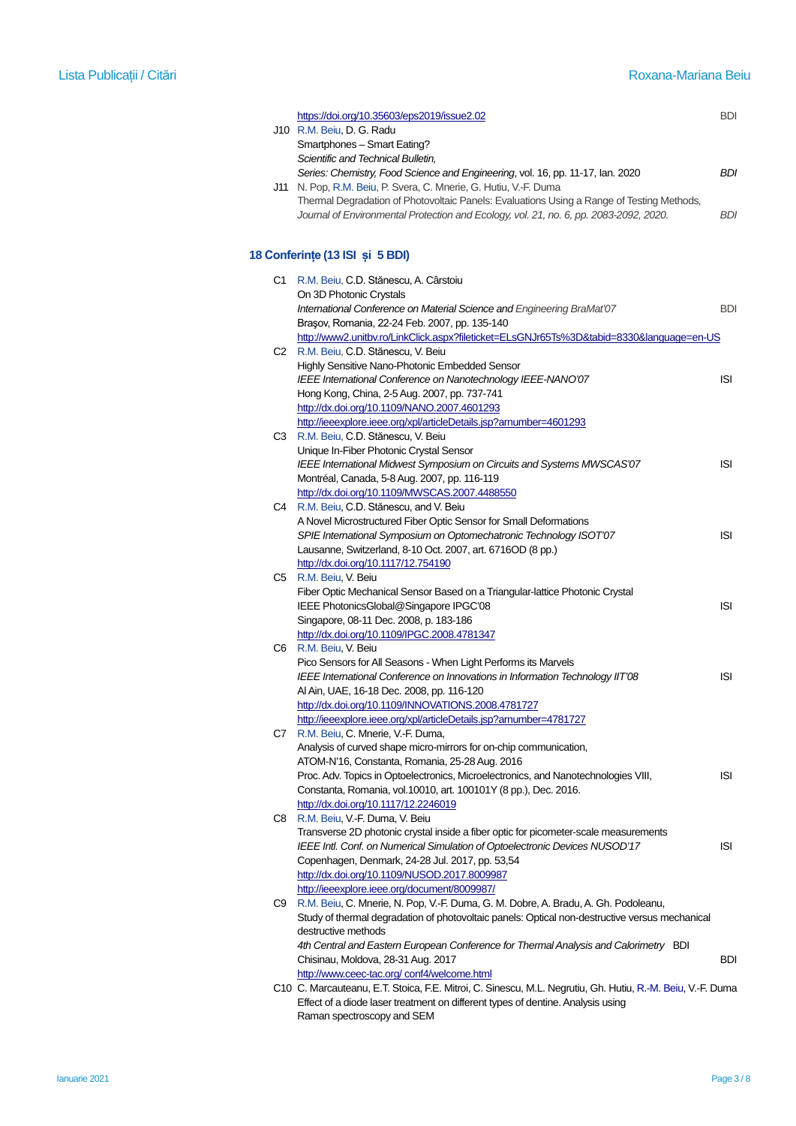|    | https://doi.org/10.35603/eps2019/issue2.02<br>J10 R.M. Beiu, D. G. Radu                                                                                                                                                                                | <b>BDI</b> |
|----|--------------------------------------------------------------------------------------------------------------------------------------------------------------------------------------------------------------------------------------------------------|------------|
|    | Smartphones - Smart Eating?<br>Scientific and Technical Bulletin,<br>Series: Chemistry, Food Science and Engineering, vol. 16, pp. 11-17, Ian. 2020                                                                                                    | BDI        |
|    | J11 N. Pop, R.M. Beiu, P. Svera, C. Mnerie, G. Hutiu, V.-F. Duma<br>Thermal Degradation of Photovoltaic Panels: Evaluations Using a Range of Testing Methods,<br>Journal of Environmental Protection and Ecology, vol. 21, no. 6, pp. 2083-2092, 2020. | BDI        |
|    | 18 Conferințe (13 ISI și 5 BDI)                                                                                                                                                                                                                        |            |
|    | C1 R.M. Beiu, C.D. Stănescu, A. Cârstoiu                                                                                                                                                                                                               |            |
|    | On 3D Photonic Crystals<br>International Conference on Material Science and Engineering BraMat'07<br>Brașov, Romania, 22-24 Feb. 2007, pp. 135-140                                                                                                     | <b>BDI</b> |
|    | http://www2.unitbv.ro/LinkClick.aspx?fileticket=ELsGNJr65Ts%3D&tabid=8330&language=en-US<br>C2 R.M. Beiu, C.D. Stănescu, V. Beiu                                                                                                                       |            |
|    | Highly Sensitive Nano-Photonic Embedded Sensor<br>IEEE International Conference on Nanotechnology IEEE-NANO'07                                                                                                                                         | ISI        |
|    | Hong Kong, China, 2-5 Aug. 2007, pp. 737-741<br>http://dx.doi.org/10.1109/NANO.2007.4601293                                                                                                                                                            |            |
|    | http://ieeexplore.ieee.org/xpl/articleDetails.jsp?arnumber=4601293                                                                                                                                                                                     |            |
| C3 | R.M. Beiu, C.D. Stănescu, V. Beiu<br>Unique In-Fiber Photonic Crystal Sensor                                                                                                                                                                           |            |
|    | IEEE International Midwest Symposium on Circuits and Systems MWSCAS'07                                                                                                                                                                                 | ISI        |
|    | Montréal, Canada, 5-8 Aug. 2007, pp. 116-119<br>http://dx.doi.org/10.1109/MWSCAS.2007.4488550                                                                                                                                                          |            |
|    | C4 R.M. Beiu, C.D. Stănescu, and V. Beiu                                                                                                                                                                                                               |            |
|    | A Novel Microstructured Fiber Optic Sensor for Small Deformations                                                                                                                                                                                      |            |
|    | SPIE International Symposium on Optomechatronic Technology ISOT'07                                                                                                                                                                                     | <b>ISI</b> |
|    | Lausanne, Switzerland, 8-10 Oct. 2007, art. 6716OD (8 pp.)<br>http://dx.doi.org/10.1117/12.754190                                                                                                                                                      |            |
|    | C5 R.M. Beiu, V. Beiu                                                                                                                                                                                                                                  |            |
|    | Fiber Optic Mechanical Sensor Based on a Triangular-lattice Photonic Crystal                                                                                                                                                                           | ISI        |
|    | IEEE PhotonicsGlobal@Singapore IPGC'08<br>Singapore, 08-11 Dec. 2008, p. 183-186                                                                                                                                                                       |            |
|    | http://dx.doi.org/10.1109/IPGC.2008.4781347                                                                                                                                                                                                            |            |
|    | C6 R.M. Beiu, V. Beiu                                                                                                                                                                                                                                  |            |
|    | Pico Sensors for All Seasons - When Light Performs its Marvels<br>IEEE International Conference on Innovations in Information Technology IIT'08                                                                                                        | ISI        |
|    | Al Ain, UAE, 16-18 Dec. 2008, pp. 116-120                                                                                                                                                                                                              |            |
|    | http://dx.doi.org/10.1109/INNOVATIONS.2008.4781727                                                                                                                                                                                                     |            |
| C7 | http://ieeexplore.ieee.org/xpl/articleDetails.jsp?amumber=4781727<br>R.M. Beiu, C. Mnerie, V.-F. Duma,                                                                                                                                                 |            |
|    | Analysis of curved shape micro-mirrors for on-chip communication,                                                                                                                                                                                      |            |
|    | ATOM-N'16, Constanta, Romania, 25-28 Aug. 2016                                                                                                                                                                                                         |            |
|    | Proc. Adv. Topics in Optoelectronics, Microelectronics, and Nanotechnologies VIII,<br>Constanta, Romania, vol.10010, art. 100101Y (8 pp.), Dec. 2016.                                                                                                  | ISI        |
|    | http://dx.doi.org/10.1117/12.2246019                                                                                                                                                                                                                   |            |
|    | C8 R.M. Beiu, V.-F. Duma, V. Beiu                                                                                                                                                                                                                      |            |
|    | Transverse 2D photonic crystal inside a fiber optic for picometer-scale measurements                                                                                                                                                                   |            |
|    | IEEE Intl. Conf. on Numerical Simulation of Optoelectronic Devices NUSOD'17<br>Copenhagen, Denmark, 24-28 Jul. 2017, pp. 53,54                                                                                                                         | ISI        |
|    | http://dx.doi.org/10.1109/NUSOD.2017.8009987                                                                                                                                                                                                           |            |
|    | http://ieeexplore.ieee.org/document/8009987/                                                                                                                                                                                                           |            |
|    | C9 R.M. Beiu, C. Mnerie, N. Pop, V.-F. Duma, G. M. Dobre, A. Bradu, A. Gh. Podoleanu,<br>Study of thermal degradation of photovoltaic panels: Optical non-destructive versus mechanical                                                                |            |
|    | destructive methods                                                                                                                                                                                                                                    |            |
|    | 4th Central and Eastern European Conference for Thermal Analysis and Calorimetry BDI                                                                                                                                                                   |            |
|    | Chisinau, Moldova, 28-31 Aug. 2017                                                                                                                                                                                                                     | BDI        |
|    | http://www.ceec-tac.org/conf4/welcome.html<br>C10 C. Marcauteanu, E.T. Stoica, F.E. Mitroi, C. Sinescu, M.L. Negrutiu, Gh. Hutiu, R.-M. Beiu, V.-F. Duma                                                                                               |            |
|    | Effect of a diode laser treatment on different types of dentine. Analysis using                                                                                                                                                                        |            |
|    | Raman spectroscopy and SEM                                                                                                                                                                                                                             |            |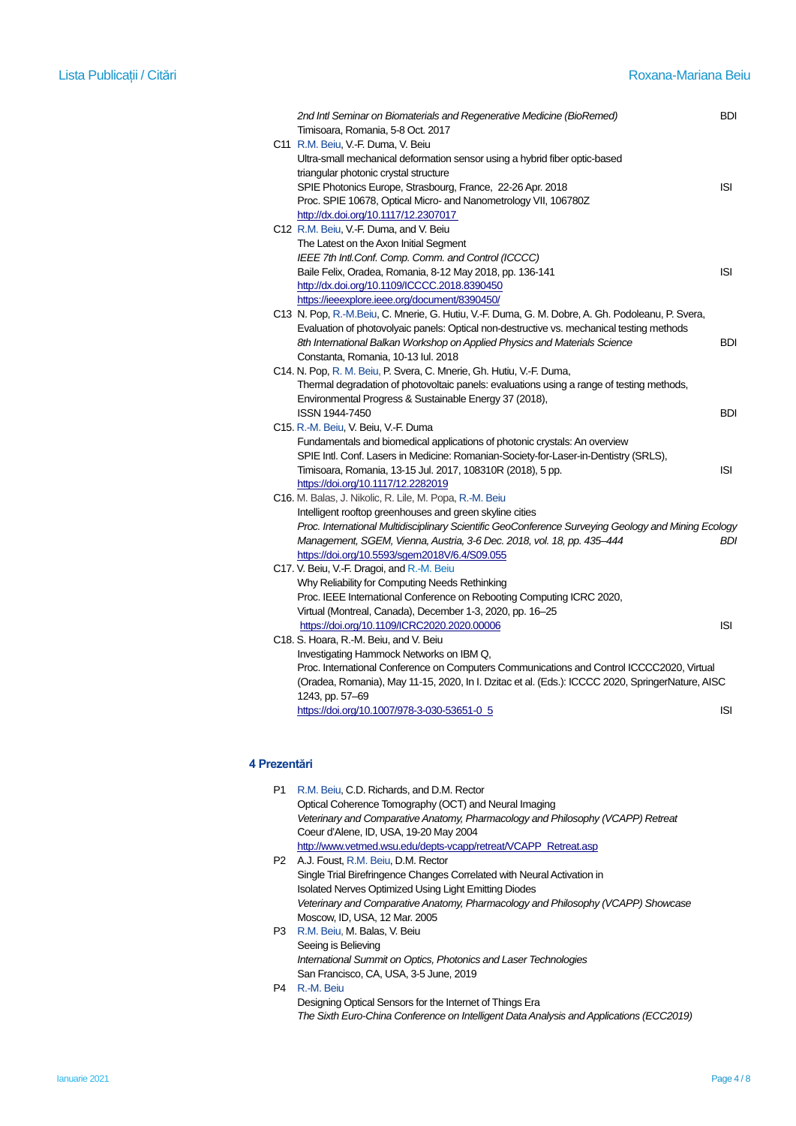| 2nd Intl Seminar on Biomaterials and Regenerative Medicine (BioRemed)<br>Timisoara, Romania, 5-8 Oct. 2017 | BDI        |
|------------------------------------------------------------------------------------------------------------|------------|
| C11 R.M. Beiu, V.-F. Duma, V. Beiu                                                                         |            |
| Ultra-small mechanical deformation sensor using a hybrid fiber optic-based                                 |            |
| triangular photonic crystal structure                                                                      |            |
| SPIE Photonics Europe, Strasbourg, France, 22-26 Apr. 2018                                                 | <b>ISI</b> |
| Proc. SPIE 10678, Optical Micro- and Nanometrology VII, 106780Z                                            |            |
| http://dx.doi.org/10.1117/12.2307017                                                                       |            |
| C12 R.M. Beiu, V.-F. Duma, and V. Beiu                                                                     |            |
| The Latest on the Axon Initial Segment                                                                     |            |
| IEEE 7th Intl.Conf. Comp. Comm. and Control (ICCCC)                                                        |            |
| Baile Felix, Oradea, Romania, 8-12 May 2018, pp. 136-141                                                   | <b>ISI</b> |
| http://dx.doi.org/10.1109/ICCCC.2018.8390450                                                               |            |
| https://ieeexplore.ieee.org/document/8390450/                                                              |            |
| C13 N. Pop, R.-M.Beiu, C. Mnerie, G. Hutiu, V.-F. Duma, G. M. Dobre, A. Gh. Podoleanu, P. Svera,           |            |
| Evaluation of photovolyaic panels: Optical non-destructive vs. mechanical testing methods                  |            |
| 8th International Balkan Workshop on Applied Physics and Materials Science                                 | <b>BDI</b> |
| Constanta, Romania, 10-13 Iul. 2018                                                                        |            |
| C14. N. Pop, R. M. Beiu, P. Svera, C. Mnerie, Gh. Hutiu, V.-F. Duma,                                       |            |
| Thermal degradation of photovoltaic panels: evaluations using a range of testing methods,                  |            |
| Environmental Progress & Sustainable Energy 37 (2018),                                                     |            |
| ISSN 1944-7450                                                                                             | BDI        |
| C15. R.-M. Beiu, V. Beiu, V.-F. Duma                                                                       |            |
| Fundamentals and biomedical applications of photonic crystals: An overview                                 |            |
| SPIE Intl. Conf. Lasers in Medicine: Romanian-Society-for-Laser-in-Dentistry (SRLS),                       |            |
| Timisoara, Romania, 13-15 Jul. 2017, 108310R (2018), 5 pp.                                                 | <b>ISI</b> |
| https://doi.org/10.1117/12.2282019                                                                         |            |
| C16. M. Balas, J. Nikolic, R. Lile, M. Popa, R.-M. Beiu                                                    |            |
| Intelligent rooftop greenhouses and green skyline cities                                                   |            |
| Proc. International Multidisciplinary Scientific GeoConference Surveying Geology and Mining Ecology        |            |
| Management, SGEM, Vienna, Austria, 3-6 Dec. 2018, vol. 18, pp. 435-444                                     | BDI        |
| https://doi.org/10.5593/sgem2018V/6.4/S09.055                                                              |            |
| C17. V. Beiu, V.-F. Dragoi, and R.-M. Beiu                                                                 |            |
| Why Reliability for Computing Needs Rethinking                                                             |            |
| Proc. IEEE International Conference on Rebooting Computing ICRC 2020,                                      |            |
| Virtual (Montreal, Canada), December 1-3, 2020, pp. 16-25                                                  |            |
| https://doi.org/10.1109/ICRC2020.2020.00006                                                                | <b>ISI</b> |
| C18. S. Hoara, R.-M. Beiu, and V. Beiu                                                                     |            |
| Investigating Hammock Networks on IBM Q,                                                                   |            |
| Proc. International Conference on Computers Communications and Control ICCCC2020, Virtual                  |            |
| (Oradea, Romania), May 11-15, 2020, In I. Dzitac et al. (Eds.): ICCCC 2020, SpringerNature, AISC           |            |
| 1243, pp. 57-69                                                                                            |            |
| https://doi.org/10.1007/978-3-030-53651-0_5                                                                | <b>ISI</b> |

## **4 Prezentări**

| P1             | R.M. Beiu, C.D. Richards, and D.M. Rector                                        |
|----------------|----------------------------------------------------------------------------------|
|                | Optical Coherence Tomography (OCT) and Neural Imaging                            |
|                | Veterinary and Comparative Anatomy, Pharmacology and Philosophy (VCAPP) Retreat  |
|                | Coeur d'Alene, ID, USA, 19-20 May 2004                                           |
|                | http://www.vetmed.wsu.edu/depts-vcapp/retreat/VCAPP Retreat.asp                  |
| P <sub>2</sub> | A.J. Foust, R.M. Beiu, D.M. Rector                                               |
|                | Single Trial Birefringence Changes Correlated with Neural Activation in          |
|                | Isolated Nerves Optimized Using Light Emitting Diodes                            |
|                | Veterinary and Comparative Anatomy, Pharmacology and Philosophy (VCAPP) Showcase |
|                | Moscow, ID, USA, 12 Mar. 2005                                                    |
| P3             | R.M. Beiu, M. Balas, V. Beiu                                                     |
|                | Seeing is Believing                                                              |
|                | International Summit on Optics, Photonics and Laser Technologies                 |
|                | San Francisco, CA, USA, 3-5 June, 2019                                           |
| P4             | R.-M. Beiu                                                                       |
|                | Designing Optical Sensors for the Internet of Things Era                         |

*The Sixth Euro-China Conference on Intelligent Data Analysis and Applications (ECC2019)*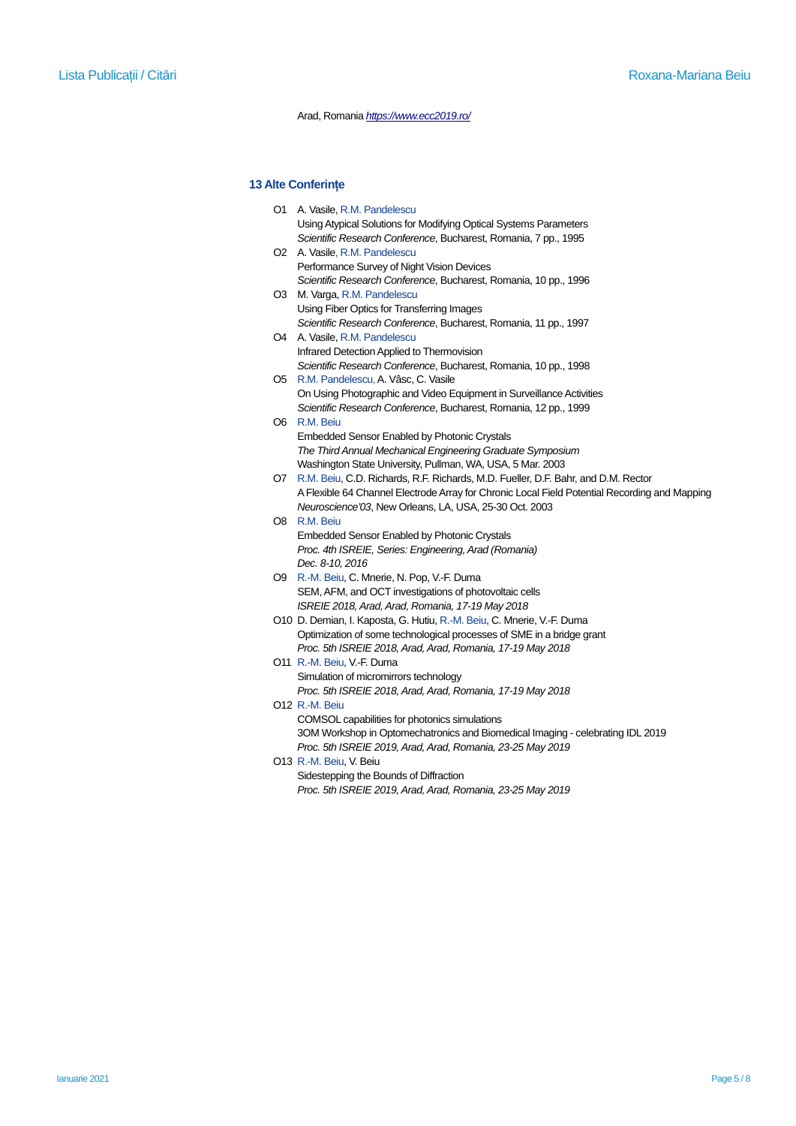#### Arad, Romania *<https://www.ecc2019.ro/>*

#### **13 Alte Conferințe**

| O1 A. Vasile, R.M. Pandelescu                                     |
|-------------------------------------------------------------------|
| Using Atypical Solutions for Modifying Optical Systems Parameters |
| Scientific Research Conference, Bucharest, Romania, 7 pp., 1995   |
| O <sub>2</sub> A. Vasile, R.M. Pandelescu                         |

- Performance Survey of Night Vision Devices *Scientific Research Conference*, Bucharest, Romania, 10 pp., 1996 O3 M. Varga, R.M. Pandelescu
- Using Fiber Optics for Transferring Images *Scientific Research Conference*, Bucharest, Romania, 11 pp., 1997
- O4 A. Vasile, R.M. Pandelescu Infrared Detection Applied to Thermovision *Scientific Research Conference*, Bucharest, Romania, 10 pp., 1998
- O5 R.M. Pandelescu, A. Vâsc, C. Vasile On Using Photographic and Video Equipment in Surveillance Activities *Scientific Research Conference*, Bucharest, Romania, 12 pp., 1999
- O6 R.M. Beiu Embedded Sensor Enabled by Photonic Crystals *The Third Annual Mechanical Engineering Graduate Symposium*  Washington State University, Pullman, WA, USA, 5 Mar. 2003
- O7 R.M. Beiu, C.D. Richards, R.F. Richards, M.D. Fueller, D.F. Bahr, and D.M. Rector A Flexible 64 Channel Electrode Array for Chronic Local Field Potential Recording and Mapping *Neuroscience'03*, New Orleans, LA, USA, 25-30 Oct. 2003
- O8 R.M. Beiu Embedded Sensor Enabled by Photonic Crystals *Proc. 4th ISREIE, Series: Engineering, Arad (Romania) Dec. 8-10, 2016*
- O9 R.-M. Beiu, C. Mnerie, N. Pop, V.-F. Duma SEM, AFM, and OCT investigations of photovoltaic cells *ISREIE 2018, Arad, Arad, Romania, 17-19 May 2018*
- O10 D. Demian, I. Kaposta, G. Hutiu, R.-M. Beiu, C. Mnerie, V.-F. Duma Optimization of some technological processes of SME in a bridge grant *Proc. 5th ISREIE 2018, Arad, Arad, Romania, 17-19 May 2018*
- O11 R.-M. Beiu, V.-F. Duma Simulation of micromirrors technology *Proc. 5th ISREIE 2018, Arad, Arad, Romania, 17-19 May 2018*
- O12 R.-M. Beiu COMSOL capabilities for photonics simulations 3OM Workshop in Optomechatronics and Biomedical Imaging - celebrating IDL 2019 *Proc. 5th ISREIE 2019, Arad, Arad, Romania, 23-25 May 2019*
- O13 R.-M. Beiu, V. Beiu Sidestepping the Bounds of Diffraction *Proc. 5th ISREIE 2019, Arad, Arad, Romania, 23-25 May 2019*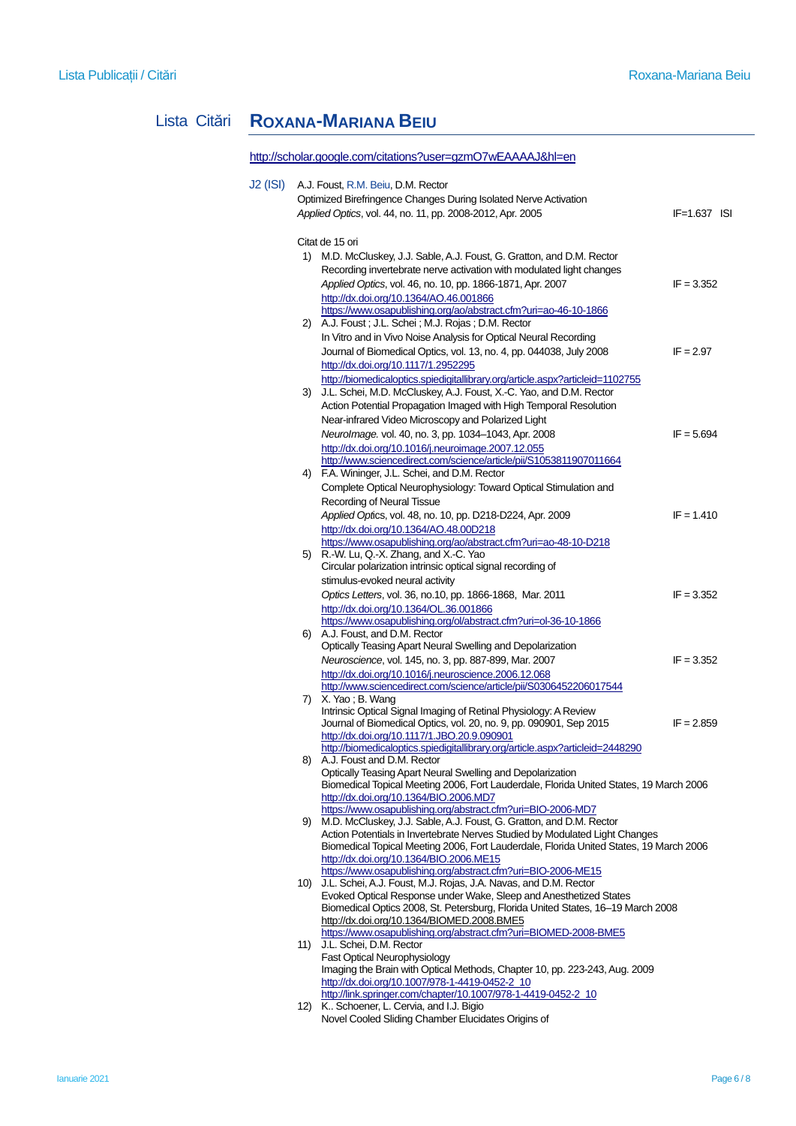# Lista Citări **ROXANA-MARIANA BEIU**

|          |    | http://scholar.google.com/citations?user=gzmO7wEAAAAJ&hl=en                                                                         |                  |
|----------|----|-------------------------------------------------------------------------------------------------------------------------------------|------------------|
| J2 (ISI) |    | A.J. Foust, R.M. Beiu, D.M. Rector                                                                                                  |                  |
|          |    | Optimized Birefringence Changes During Isolated Nerve Activation                                                                    |                  |
|          |    | Applied Optics, vol. 44, no. 11, pp. 2008-2012, Apr. 2005                                                                           | $IF = 1.637$ ISI |
|          |    | Citat de 15 ori                                                                                                                     |                  |
|          | 1) | M.D. McCluskey, J.J. Sable, A.J. Foust, G. Gratton, and D.M. Rector                                                                 |                  |
|          |    | Recording invertebrate nerve activation with modulated light changes                                                                |                  |
|          |    | Applied Optics, vol. 46, no. 10, pp. 1866-1871, Apr. 2007                                                                           | $IF = 3.352$     |
|          |    | http://dx.doi.org/10.1364/AO.46.001866                                                                                              |                  |
|          |    | https://www.osapublishing.org/ao/abstract.cfm?uri=ao-46-10-1866<br>2) A.J. Foust; J.L. Schei; M.J. Rojas; D.M. Rector               |                  |
|          |    | In Vitro and in Vivo Noise Analysis for Optical Neural Recording                                                                    |                  |
|          |    | Journal of Biomedical Optics, vol. 13, no. 4, pp. 044038, July 2008                                                                 | $IF = 2.97$      |
|          |    | http://dx.doi.org/10.1117/1.2952295                                                                                                 |                  |
|          |    | http://biomedicaloptics.spiedigitallibrary.org/article.aspx?articleid=1102755                                                       |                  |
|          |    | 3) J.L. Schei, M.D. McCluskey, A.J. Foust, X.-C. Yao, and D.M. Rector                                                               |                  |
|          |    | Action Potential Propagation Imaged with High Temporal Resolution                                                                   |                  |
|          |    | Near-infrared Video Microscopy and Polarized Light                                                                                  |                  |
|          |    | Neurolmage. vol. 40, no. 3, pp. 1034-1043, Apr. 2008                                                                                | $IF = 5.694$     |
|          |    | http://dx.doi.org/10.1016/j.neuroimage.2007.12.055                                                                                  |                  |
|          |    | http://www.sciencedirect.com/science/article/pii/S1053811907011664                                                                  |                  |
|          |    | 4) F.A. Wininger, J.L. Schei, and D.M. Rector                                                                                       |                  |
|          |    | Complete Optical Neurophysiology: Toward Optical Stimulation and                                                                    |                  |
|          |    | Recording of Neural Tissue                                                                                                          |                  |
|          |    | Applied Optics, vol. 48, no. 10, pp. D218-D224, Apr. 2009                                                                           | $IF = 1.410$     |
|          |    | http://dx.doi.org/10.1364/AO.48.00D218                                                                                              |                  |
|          |    | https://www.osapublishing.org/ao/abstract.cfm?uri=ao-48-10-D218                                                                     |                  |
|          |    | 5) R.-W. Lu, Q.-X. Zhang, and X.-C. Yao                                                                                             |                  |
|          |    | Circular polarization intrinsic optical signal recording of                                                                         |                  |
|          |    | stimulus-evoked neural activity                                                                                                     |                  |
|          |    | Optics Letters, vol. 36, no.10, pp. 1866-1868, Mar. 2011                                                                            | $IF = 3.352$     |
|          |    | http://dx.doi.org/10.1364/OL.36.001866                                                                                              |                  |
|          |    | https://www.osapublishing.org/ol/abstract.cfm?uri=ol-36-10-1866<br>6) A.J. Foust, and D.M. Rector                                   |                  |
|          |    | Optically Teasing Apart Neural Swelling and Depolarization                                                                          |                  |
|          |    | Neuroscience, vol. 145, no. 3, pp. 887-899, Mar. 2007                                                                               | $IF = 3.352$     |
|          |    | http://dx.doi.org/10.1016/j.neuroscience.2006.12.068                                                                                |                  |
|          |    | http://www.sciencedirect.com/science/article/pii/S0306452206017544                                                                  |                  |
|          |    | 7) X. Yao; B. Wang                                                                                                                  |                  |
|          |    | Intrinsic Optical Signal Imaging of Retinal Physiology: A Review                                                                    |                  |
|          |    | Journal of Biomedical Optics, vol. 20, no. 9, pp. 090901, Sep 2015                                                                  | $IF = 2.859$     |
|          |    | http://dx.doi.org/10.1117/1.JBO.20.9.090901                                                                                         |                  |
|          |    | http://biomedicaloptics.spiedigitallibrary.org/article.aspx?articleid=2448290                                                       |                  |
|          | 8) | A.J. Foust and D.M. Rector<br>Optically Teasing Apart Neural Swelling and Depolarization                                            |                  |
|          |    | Biomedical Topical Meeting 2006, Fort Lauderdale, Florida United States, 19 March 2006                                              |                  |
|          |    | http://dx.doi.org/10.1364/BIO.2006.MD7                                                                                              |                  |
|          |    | https://www.osapublishing.org/abstract.cfm?uri=BIO-2006-MD7                                                                         |                  |
|          | 9) | M.D. McCluskey, J.J. Sable, A.J. Foust, G. Gratton, and D.M. Rector                                                                 |                  |
|          |    | Action Potentials in Invertebrate Nerves Studied by Modulated Light Changes                                                         |                  |
|          |    | Biomedical Topical Meeting 2006, Fort Lauderdale, Florida United States, 19 March 2006                                              |                  |
|          |    | http://dx.doi.org/10.1364/BIO.2006.ME15                                                                                             |                  |
|          |    | https://www.osapublishing.org/abstract.cfm?uri=BIO-2006-ME15<br>10) J.L. Schei, A.J. Foust, M.J. Rojas, J.A. Navas, and D.M. Rector |                  |
|          |    | Evoked Optical Response under Wake, Sleep and Anesthetized States                                                                   |                  |
|          |    | Biomedical Optics 2008, St. Petersburg, Florida United States, 16-19 March 2008                                                     |                  |
|          |    | http://dx.doi.org/10.1364/BIOMED.2008.BME5                                                                                          |                  |
|          |    | https://www.osapublishing.org/abstract.cfm?uri=BIOMED-2008-BME5                                                                     |                  |
|          |    | 11) J.L. Schei, D.M. Rector                                                                                                         |                  |
|          |    | Fast Optical Neurophysiology                                                                                                        |                  |
|          |    | Imaging the Brain with Optical Methods, Chapter 10, pp. 223-243, Aug. 2009                                                          |                  |
|          |    | http://dx.doi.org/10.1007/978-1-4419-0452-2_10<br>http://link.springer.com/chapter/10.1007/978-1-4419-0452-2_10                     |                  |
|          |    | 12) K Schoener, L. Cervia, and I.J. Bigio                                                                                           |                  |
|          |    | Novel Cooled Sliding Chamber Elucidates Origins of                                                                                  |                  |
|          |    |                                                                                                                                     |                  |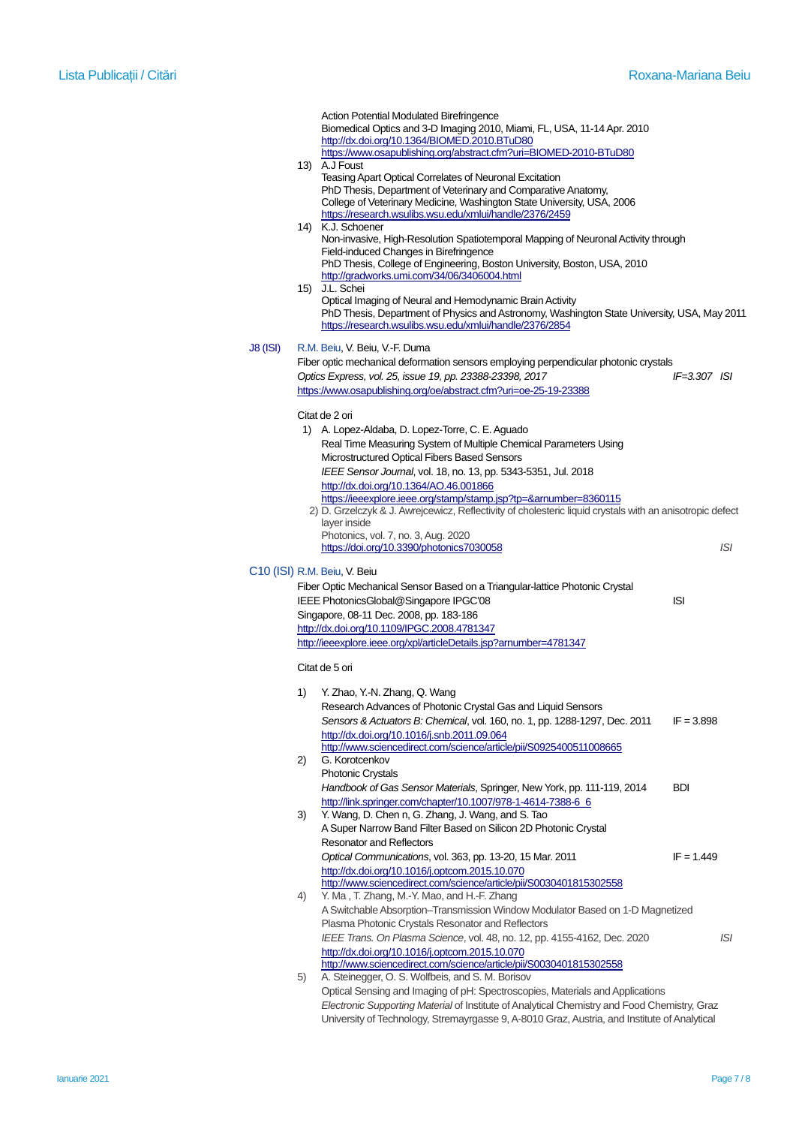|                 |    | Action Potential Modulated Birefringence<br>Biomedical Optics and 3-D Imaging 2010, Miami, FL, USA, 11-14 Apr. 2010<br>http://dx.doi.org/10.1364/BIOMED.2010.BTuD80<br>https://www.osapublishing.org/abstract.cfm?uri=BIOMED-2010-BTuD80<br>13) A.J Foust<br>Teasing Apart Optical Correlates of Neuronal Excitation<br>PhD Thesis, Department of Veterinary and Comparative Anatomy,                                                                                                                                                                                                 |                  |
|-----------------|----|---------------------------------------------------------------------------------------------------------------------------------------------------------------------------------------------------------------------------------------------------------------------------------------------------------------------------------------------------------------------------------------------------------------------------------------------------------------------------------------------------------------------------------------------------------------------------------------|------------------|
|                 |    | College of Veterinary Medicine, Washington State University, USA, 2006<br>https://research.wsulibs.wsu.edu/xmlui/handle/2376/2459<br>14) K.J. Schoener<br>Non-invasive, High-Resolution Spatiotemporal Mapping of Neuronal Activity through<br>Field-induced Changes in Birefringence<br>PhD Thesis, College of Engineering, Boston University, Boston, USA, 2010                                                                                                                                                                                                                     |                  |
|                 |    | http://gradworks.umi.com/34/06/3406004.html<br>15) J.L. Schei<br>Optical Imaging of Neural and Hemodynamic Brain Activity<br>PhD Thesis, Department of Physics and Astronomy, Washington State University, USA, May 2011<br>https://research.wsulibs.wsu.edu/xmlui/handle/2376/2854                                                                                                                                                                                                                                                                                                   |                  |
| <b>J8 (ISI)</b> |    | R.M. Beiu, V. Beiu, V.-F. Duma<br>Fiber optic mechanical deformation sensors employing perpendicular photonic crystals<br>Optics Express, vol. 25, issue 19, pp. 23388-23398, 2017<br>https://www.osapublishing.org/oe/abstract.cfm?uri=oe-25-19-23388                                                                                                                                                                                                                                                                                                                                | $IF = 3.307$ ISI |
|                 |    | Citat de 2 ori<br>1) A. Lopez-Aldaba, D. Lopez-Torre, C. E. Aguado<br>Real Time Measuring System of Multiple Chemical Parameters Using<br>Microstructured Optical Fibers Based Sensors<br>IEEE Sensor Journal, vol. 18, no. 13, pp. 5343-5351, Jul. 2018<br>http://dx.doi.org/10.1364/AO.46.001866<br>https://ieeexplore.ieee.org/stamp/stamp.jsp?tp=&arnumber=8360115<br>2) D. Grzelczyk & J. Awrejcewicz, Reflectivity of cholesteric liquid crystals with an anisotropic defect<br>layer inside<br>Photonics, vol. 7, no. 3, Aug. 2020<br>https://doi.org/10.3390/photonics7030058 | ISI              |
|                 |    | C <sub>10</sub> (ISI) R.M. Beiu, V. Beiu<br>Fiber Optic Mechanical Sensor Based on a Triangular-lattice Photonic Crystal<br>IEEE PhotonicsGlobal@Singapore IPGC'08<br>Singapore, 08-11 Dec. 2008, pp. 183-186<br>http://dx.doi.org/10.1109/IPGC.2008.4781347                                                                                                                                                                                                                                                                                                                          | ISI              |
|                 |    | http://ieeexplore.ieee.org/xpl/articleDetails.jsp?amumber=4781347<br>Citat de 5 ori                                                                                                                                                                                                                                                                                                                                                                                                                                                                                                   |                  |
|                 | 1) | Y. Zhao, Y.-N. Zhang, Q. Wang<br>Research Advances of Photonic Crystal Gas and Liquid Sensors<br>Sensors & Actuators B: Chemical, vol. 160, no. 1, pp. 1288-1297, Dec. 2011<br>http://dx.doi.org/10.1016/j.snb.2011.09.064                                                                                                                                                                                                                                                                                                                                                            | $IF = 3.898$     |
|                 | 2) | http://www.sciencedirect.com/science/article/pii/S0925400511008665<br>G. Korotcenkov<br><b>Photonic Crystals</b>                                                                                                                                                                                                                                                                                                                                                                                                                                                                      |                  |
|                 | 3) | Handbook of Gas Sensor Materials, Springer, New York, pp. 111-119, 2014<br>http://link.springer.com/chapter/10.1007/978-1-4614-7388-6_6<br>Y. Wang, D. Chen n, G. Zhang, J. Wang, and S. Tao<br>A Super Narrow Band Filter Based on Silicon 2D Photonic Crystal                                                                                                                                                                                                                                                                                                                       | <b>BDI</b>       |
|                 |    | <b>Resonator and Reflectors</b><br>Optical Communications, vol. 363, pp. 13-20, 15 Mar. 2011<br>http://dx.doi.org/10.1016/j.optcom.2015.10.070<br>http://www.sciencedirect.com/science/article/pii/S0030401815302558<br>Y. Ma, T. Zhang, M.-Y. Mao, and H.-F. Zhang                                                                                                                                                                                                                                                                                                                   | $IF = 1.449$     |
|                 | 4) | A Switchable Absorption-Transmission Window Modulator Based on 1-D Magnetized<br>Plasma Photonic Crystals Resonator and Reflectors<br>IEEE Trans. On Plasma Science, vol. 48, no. 12, pp. 4155-4162, Dec. 2020                                                                                                                                                                                                                                                                                                                                                                        | ISI              |
|                 | 5) | http://dx.doi.org/10.1016/j.optcom.2015.10.070<br>http://www.sciencedirect.com/science/article/pii/S0030401815302558<br>A. Steinegger, O. S. Wolfbeis, and S. M. Borisov<br>Optical Sensing and Imaging of pH: Spectroscopies, Materials and Applications<br>Electronic Supporting Material of Institute of Analytical Chemistry and Food Chemistry, Graz                                                                                                                                                                                                                             |                  |
|                 |    | University of Technology, Stremayrgasse 9, A-8010 Graz, Austria, and Institute of Analytical                                                                                                                                                                                                                                                                                                                                                                                                                                                                                          |                  |